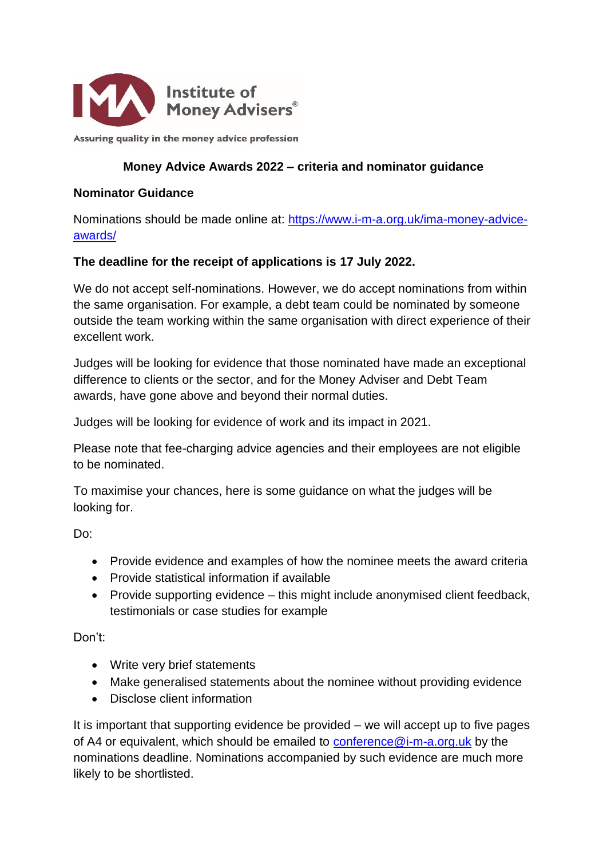

Assuring quality in the money advice profession

#### **Money Advice Awards 2022 – criteria and nominator guidance**

#### **Nominator Guidance**

Nominations should be made online at: [https://www.i-m-a.org.uk/ima-money-advice](https://www.i-m-a.org.uk/ima-money-advice-awards/)[awards/](https://www.i-m-a.org.uk/ima-money-advice-awards/)

### **The deadline for the receipt of applications is 17 July 2022.**

We do not accept self-nominations. However, we do accept nominations from within the same organisation. For example, a debt team could be nominated by someone outside the team working within the same organisation with direct experience of their excellent work.

Judges will be looking for evidence that those nominated have made an exceptional difference to clients or the sector, and for the Money Adviser and Debt Team awards, have gone above and beyond their normal duties.

Judges will be looking for evidence of work and its impact in 2021.

Please note that fee-charging advice agencies and their employees are not eligible to be nominated.

To maximise your chances, here is some guidance on what the judges will be looking for.

Do:

- Provide evidence and examples of how the nominee meets the award criteria
- Provide statistical information if available
- Provide supporting evidence this might include anonymised client feedback, testimonials or case studies for example

Don't:

- Write very brief statements
- Make generalised statements about the nominee without providing evidence
- Disclose client information

It is important that supporting evidence be provided – we will accept up to five pages of A4 or equivalent, which should be emailed to [conference@i-m-a.org.uk](mailto:conference@i-m-a.org.uk) by the nominations deadline. Nominations accompanied by such evidence are much more likely to be shortlisted.